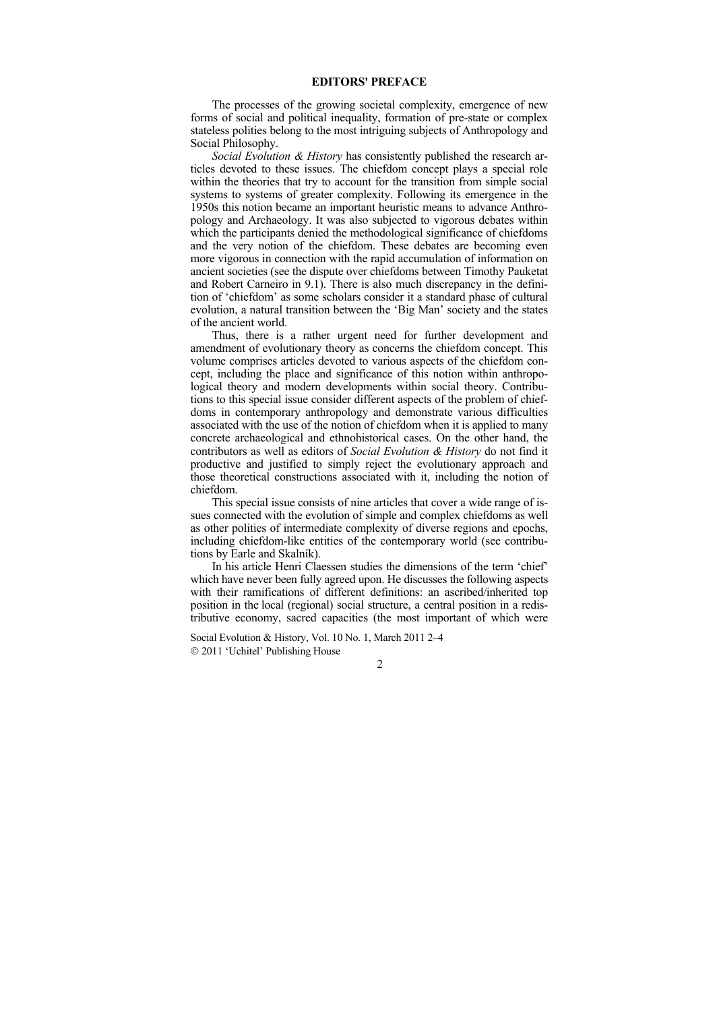The processes of the growing societal complexity, emergence of new forms of social and political inequality, formation of pre-state or complex stateless polities belong to the most intriguing subjects of Anthropology and Social Philosophy.

*Social Evolution & History* has consistently published the research articles devoted to these issues. The chiefdom concept plays a special role within the theories that try to account for the transition from simple social systems to systems of greater complexity. Following its emergence in the 1950s this notion became an important heuristic means to advance Anthropology and Archaeology. It was also subjected to vigorous debates within which the participants denied the methodological significance of chiefdoms and the very notion of the chiefdom. These debates are becoming even more vigorous in connection with the rapid accumulation of information on ancient societies (see the dispute over chiefdoms between Timothy Pauketat and Robert Carneiro in 9.1). There is also much discrepancy in the definition of 'chiefdom' as some scholars consider it a standard phase of cultural evolution, a natural transition between the 'Big Man' society and the states of the ancient world.

Thus, there is a rather urgent need for further development and amendment of evolutionary theory as concerns the chiefdom concept. This volume comprises articles devoted to various aspects of the chiefdom concept, including the place and significance of this notion within anthropological theory and modern developments within social theory. Contributions to this special issue consider different aspects of the problem of chiefdoms in contemporary anthropology and demonstrate various difficulties associated with the use of the notion of chiefdom when it is applied to many concrete archaeological and ethnohistorical cases. On the other hand, the contributors as well as editors of *Social Evolution & History* do not find it productive and justified to simply reject the evolutionary approach and those theoretical constructions associated with it, including the notion of chiefdom.

This special issue consists of nine articles that cover a wide range of issues connected with the evolution of simple and complex chiefdoms as well as other polities of intermediate complexity of diverse regions and epochs, including chiefdom-like entities of the contemporary world (see contributions by Earle and Skalník).

In his article Henri Claessen studies the dimensions of the term 'chief' which have never been fully agreed upon. He discusses the following aspects with their ramifications of different definitions: an ascribed/inherited top position in the local (regional) social structure, a central position in a redistributive economy, sacred capacities (the most important of which were

Social Evolution & History, Vol. 10 No. 1, March 2011 2–4 2011 'Uchitel' Publishing House

2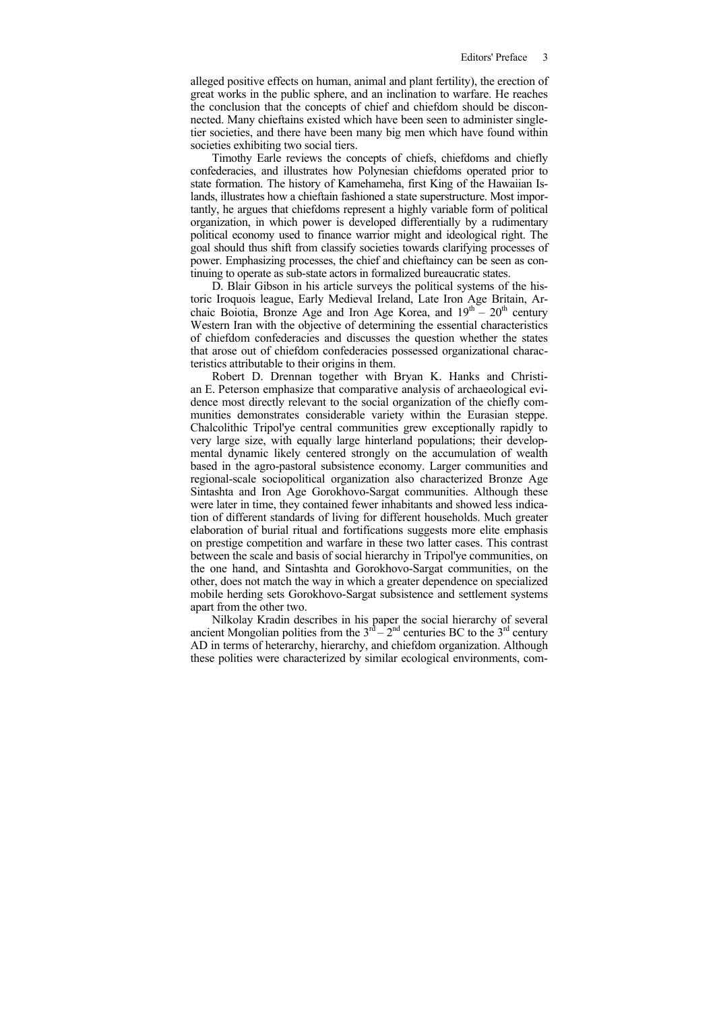alleged positive effects on human, animal and plant fertility), the erection of great works in the public sphere, and an inclination to warfare. He reaches the conclusion that the concepts of chief and chiefdom should be disconnected. Many chieftains existed which have been seen to administer singletier societies, and there have been many big men which have found within societies exhibiting two social tiers.

Timothy Earle reviews the concepts of chiefs, chiefdoms and chiefly confederacies, and illustrates how Polynesian chiefdoms operated prior to state formation. The history of Kamehameha, first King of the Hawaiian Islands, illustrates how a chieftain fashioned a state superstructure. Most importantly, he argues that chiefdoms represent a highly variable form of political organization, in which power is developed differentially by a rudimentary political economy used to finance warrior might and ideological right. The goal should thus shift from classify societies towards clarifying processes of power. Emphasizing processes, the chief and chieftaincy can be seen as continuing to operate as sub-state actors in formalized bureaucratic states.

D. Blair Gibson in his article surveys the political systems of the historic Iroquois league, Early Medieval Ireland, Late Iron Age Britain, Archaic Boiotia, Bronze Age and Iron Age Korea, and  $19<sup>th</sup> - 20<sup>th</sup>$  century Western Iran with the objective of determining the essential characteristics of chiefdom confederacies and discusses the question whether the states that arose out of chiefdom confederacies possessed organizational characteristics attributable to their origins in them.

Robert D. Drennan together with Bryan K. Hanks and Christian E. Peterson emphasize that comparative analysis of archaeological evidence most directly relevant to the social organization of the chiefly communities demonstrates considerable variety within the Eurasian steppe. Chalcolithic Tripol'ye central communities grew exceptionally rapidly to very large size, with equally large hinterland populations; their developmental dynamic likely centered strongly on the accumulation of wealth based in the agro-pastoral subsistence economy. Larger communities and regional-scale sociopolitical organization also characterized Bronze Age Sintashta and Iron Age Gorokhovo-Sargat communities. Although these were later in time, they contained fewer inhabitants and showed less indication of different standards of living for different households. Much greater elaboration of burial ritual and fortifications suggests more elite emphasis on prestige competition and warfare in these two latter cases. This contrast between the scale and basis of social hierarchy in Tripol'ye communities, on the one hand, and Sintashta and Gorokhovo-Sargat communities, on the other, does not match the way in which a greater dependence on specialized mobile herding sets Gorokhovo-Sargat subsistence and settlement systems apart from the other two.

Nilkolay Kradin describes in his paper the social hierarchy of several ancient Mongolian polities from the  $3<sup>rd</sup> - 2<sup>nd</sup>$  centuries BC to the  $3<sup>rd</sup>$  century AD in terms of heterarchy, hierarchy, and chiefdom organization. Although these polities were characterized by similar ecological environments, com